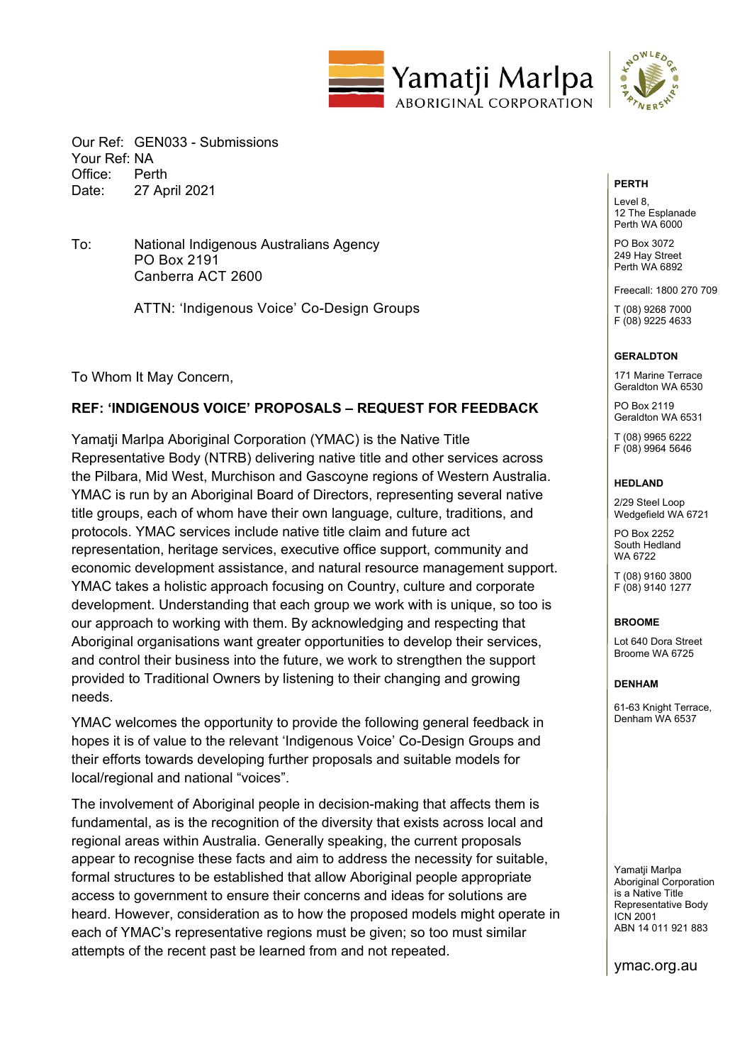



Our Ref: GEN033 - Submissions Your Ref: NA Office: Perth Date: 27 April 2021

To: National Indigenous Australians Agency PO Box 2191 Canberra ACT 2600

ATTN: 'Indigenous Voice' Co-Design Groups

To Whom It May Concern,

#### **REF: 'INDIGENOUS VOICE' PROPOSALS – REQUEST FOR FEEDBACK**

Yamatji Marlpa Aboriginal Corporation (YMAC) is the Native Title Representative Body (NTRB) delivering native title and other services across the Pilbara, Mid West, Murchison and Gascoyne regions of Western Australia. YMAC is run by an Aboriginal Board of Directors, representing several native title groups, each of whom have their own language, culture, traditions, and protocols. YMAC services include native title claim and future act representation, heritage services, executive office support, community and economic development assistance, and natural resource management support. YMAC takes a holistic approach focusing on Country, culture and corporate development. Understanding that each group we work with is unique, so too is our approach to working with them. By acknowledging and respecting that Aboriginal organisations want greater opportunities to develop their services, and control their business into the future, we work to strengthen the support provided to Traditional Owners by listening to their changing and growing needs.

YMAC welcomes the opportunity to provide the following general feedback in hopes it is of value to the relevant 'Indigenous Voice' Co-Design Groups and their efforts towards developing further proposals and suitable models for local/regional and national "voices".

The involvement of Aboriginal people in decision-making that affects them is fundamental, as is the recognition of the diversity that exists across local and regional areas within Australia. Generally speaking, the current proposals appear to recognise these facts and aim to address the necessity for suitable, formal structures to be established that allow Aboriginal people appropriate access to government to ensure their concerns and ideas for solutions are heard. However, consideration as to how the proposed models might operate in each of YMAC's representative regions must be given; so too must similar attempts of the recent past be learned from and not repeated.

#### **PERTH**

Level 8 12 The Esplanade Perth WA 6000

PO Box 3072 249 Hay Street Perth WA 6892

Freecall: 1800 270 709

T (08) 9268 7000 F (08) 9225 4633

#### **GERALDTON**

171 Marine Terrace Geraldton WA 6530

PO Box 2119 Geraldton WA 6531

T (08) 9965 6222 F (08) 9964 5646

#### **HEDLAND**

2/29 Steel Loop Wedgefield WA 6721

PO Box 2252 South Hedland WA 6722

T (08) 9160 3800 F (08) 9140 1277

#### **BROOME**

Lot 640 Dora Street Broome WA 6725

#### **DENHAM**

61-63 Knight Terrace, Denham WA 6537

Yamatii Marlpa Aboriginal Corporation is a Native Title Representative Body ICN 2001 ABN 14 011 921 883

ymac.org.au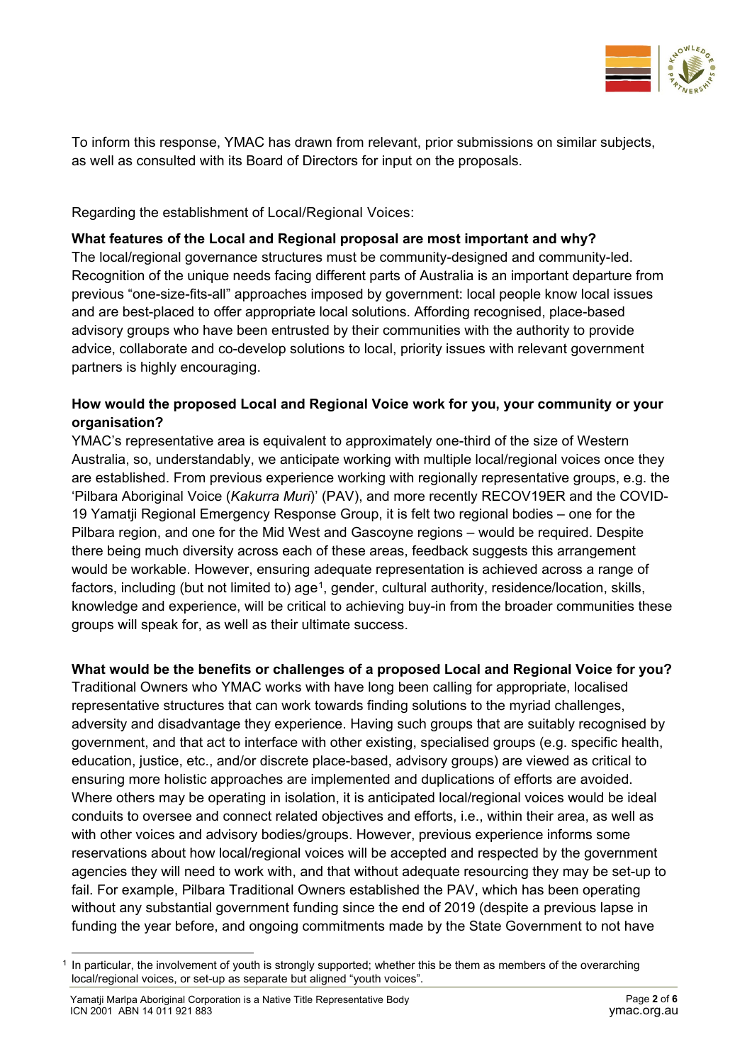

To inform this response, YMAC has drawn from relevant, prior submissions on similar subjects, as well as consulted with its Board of Directors for input on the proposals.

Regarding the establishment of Local/Regional Voices:

# **What features of the Local and Regional proposal are most important and why?**

The local/regional governance structures must be community-designed and community-led. Recognition of the unique needs facing different parts of Australia is an important departure from previous "one-size-fits-all" approaches imposed by government: local people know local issues and are best-placed to offer appropriate local solutions. Affording recognised, place-based advisory groups who have been entrusted by their communities with the authority to provide advice, collaborate and co-develop solutions to local, priority issues with relevant government partners is highly encouraging.

## **How would the proposed Local and Regional Voice work for you, your community or your organisation?**

YMAC's representative area is equivalent to approximately one-third of the size of Western Australia, so, understandably, we anticipate working with multiple local/regional voices once they are established. From previous experience working with regionally representative groups, e.g. the 'Pilbara Aboriginal Voice (*Kakurra Muri*)' (PAV), and more recently RECOV19ER and the COVID-19 Yamatji Regional Emergency Response Group, it is felt two regional bodies – one for the Pilbara region, and one for the Mid West and Gascoyne regions – would be required. Despite there being much diversity across each of these areas, feedback suggests this arrangement would be workable. However, ensuring adequate representation is achieved across a range of factors, including (but not limited to) age<sup>[1](#page-1-0)</sup>, gender, cultural authority, residence/location, skills, knowledge and experience, will be critical to achieving buy-in from the broader communities these groups will speak for, as well as their ultimate success.

## **What would be the benefits or challenges of a proposed Local and Regional Voice for you?**

Traditional Owners who YMAC works with have long been calling for appropriate, localised representative structures that can work towards finding solutions to the myriad challenges, adversity and disadvantage they experience. Having such groups that are suitably recognised by government, and that act to interface with other existing, specialised groups (e.g. specific health, education, justice, etc., and/or discrete place-based, advisory groups) are viewed as critical to ensuring more holistic approaches are implemented and duplications of efforts are avoided. Where others may be operating in isolation, it is anticipated local/regional voices would be ideal conduits to oversee and connect related objectives and efforts, i.e., within their area, as well as with other voices and advisory bodies/groups. However, previous experience informs some reservations about how local/regional voices will be accepted and respected by the government agencies they will need to work with, and that without adequate resourcing they may be set-up to fail. For example, Pilbara Traditional Owners established the PAV, which has been operating without any substantial government funding since the end of 2019 (despite a previous lapse in funding the year before, and ongoing commitments made by the State Government to not have

<span id="page-1-0"></span> $1$  In particular, the involvement of youth is strongly supported; whether this be them as members of the overarching local/regional voices, or set-up as separate but aligned "youth voices".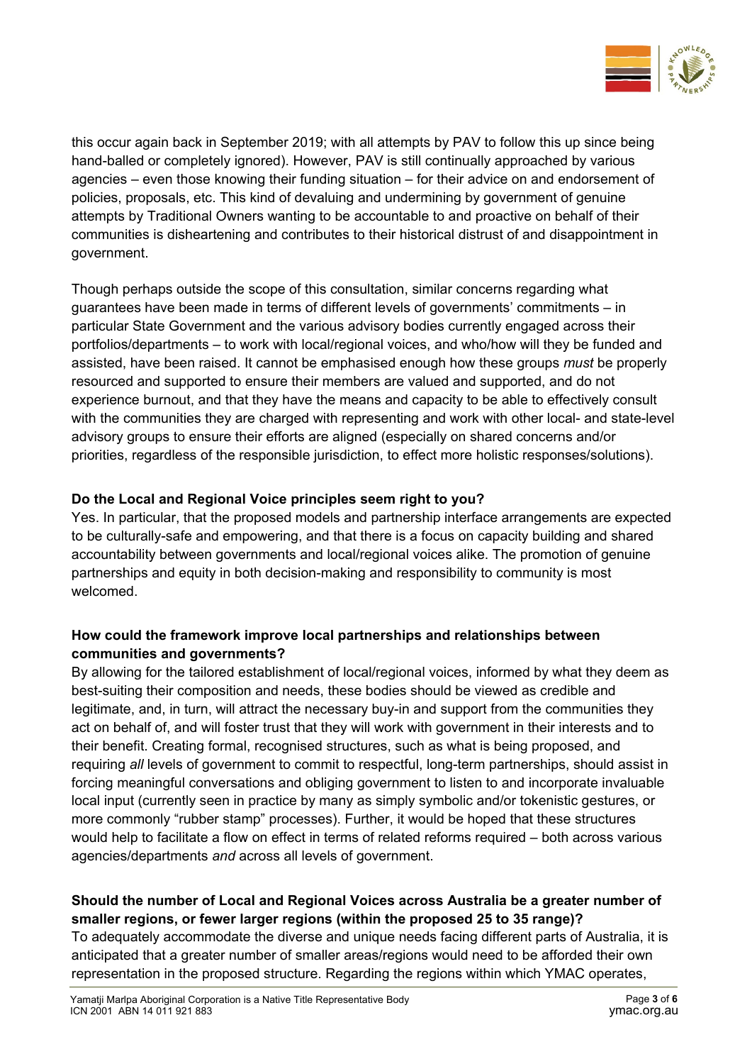

this occur again back in September 2019; with all attempts by PAV to follow this up since being hand-balled or completely ignored). However, PAV is still continually approached by various agencies – even those knowing their funding situation – for their advice on and endorsement of policies, proposals, etc. This kind of devaluing and undermining by government of genuine attempts by Traditional Owners wanting to be accountable to and proactive on behalf of their communities is disheartening and contributes to their historical distrust of and disappointment in government.

Though perhaps outside the scope of this consultation, similar concerns regarding what guarantees have been made in terms of different levels of governments' commitments – in particular State Government and the various advisory bodies currently engaged across their portfolios/departments – to work with local/regional voices, and who/how will they be funded and assisted, have been raised. It cannot be emphasised enough how these groups *must* be properly resourced and supported to ensure their members are valued and supported, and do not experience burnout, and that they have the means and capacity to be able to effectively consult with the communities they are charged with representing and work with other local- and state-level advisory groups to ensure their efforts are aligned (especially on shared concerns and/or priorities, regardless of the responsible jurisdiction, to effect more holistic responses/solutions).

## **Do the Local and Regional Voice principles seem right to you?**

Yes. In particular, that the proposed models and partnership interface arrangements are expected to be culturally-safe and empowering, and that there is a focus on capacity building and shared accountability between governments and local/regional voices alike. The promotion of genuine partnerships and equity in both decision-making and responsibility to community is most welcomed.

## **How could the framework improve local partnerships and relationships between communities and governments?**

By allowing for the tailored establishment of local/regional voices, informed by what they deem as best-suiting their composition and needs, these bodies should be viewed as credible and legitimate, and, in turn, will attract the necessary buy-in and support from the communities they act on behalf of, and will foster trust that they will work with government in their interests and to their benefit. Creating formal, recognised structures, such as what is being proposed, and requiring *all* levels of government to commit to respectful, long-term partnerships, should assist in forcing meaningful conversations and obliging government to listen to and incorporate invaluable local input (currently seen in practice by many as simply symbolic and/or tokenistic gestures, or more commonly "rubber stamp" processes). Further, it would be hoped that these structures would help to facilitate a flow on effect in terms of related reforms required – both across various agencies/departments *and* across all levels of government.

# **Should the number of Local and Regional Voices across Australia be a greater number of smaller regions, or fewer larger regions (within the proposed 25 to 35 range)?**

To adequately accommodate the diverse and unique needs facing different parts of Australia, it is anticipated that a greater number of smaller areas/regions would need to be afforded their own representation in the proposed structure. Regarding the regions within which YMAC operates,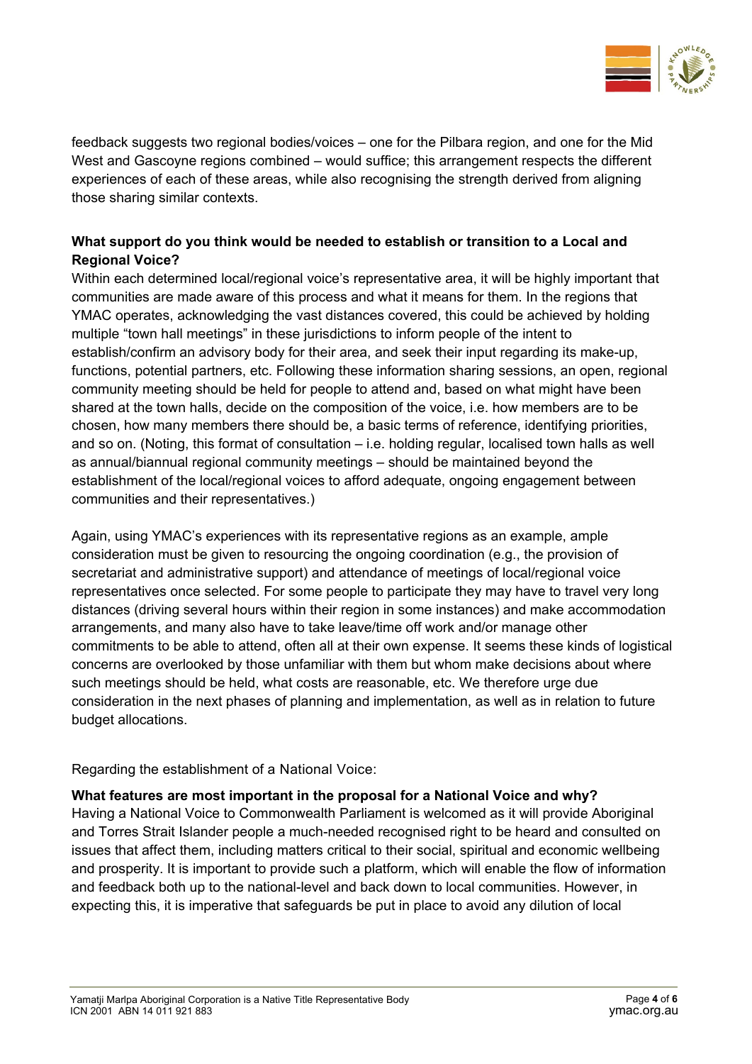

feedback suggests two regional bodies/voices – one for the Pilbara region, and one for the Mid West and Gascoyne regions combined – would suffice; this arrangement respects the different experiences of each of these areas, while also recognising the strength derived from aligning those sharing similar contexts.

# **What support do you think would be needed to establish or transition to a Local and Regional Voice?**

Within each determined local/regional voice's representative area, it will be highly important that communities are made aware of this process and what it means for them. In the regions that YMAC operates, acknowledging the vast distances covered, this could be achieved by holding multiple "town hall meetings" in these jurisdictions to inform people of the intent to establish/confirm an advisory body for their area, and seek their input regarding its make-up, functions, potential partners, etc. Following these information sharing sessions, an open, regional community meeting should be held for people to attend and, based on what might have been shared at the town halls, decide on the composition of the voice, i.e. how members are to be chosen, how many members there should be, a basic terms of reference, identifying priorities, and so on. (Noting, this format of consultation – i.e. holding regular, localised town halls as well as annual/biannual regional community meetings – should be maintained beyond the establishment of the local/regional voices to afford adequate, ongoing engagement between communities and their representatives.)

Again, using YMAC's experiences with its representative regions as an example, ample consideration must be given to resourcing the ongoing coordination (e.g., the provision of secretariat and administrative support) and attendance of meetings of local/regional voice representatives once selected. For some people to participate they may have to travel very long distances (driving several hours within their region in some instances) and make accommodation arrangements, and many also have to take leave/time off work and/or manage other commitments to be able to attend, often all at their own expense. It seems these kinds of logistical concerns are overlooked by those unfamiliar with them but whom make decisions about where such meetings should be held, what costs are reasonable, etc. We therefore urge due consideration in the next phases of planning and implementation, as well as in relation to future budget allocations.

Regarding the establishment of a National Voice:

#### **What features are most important in the proposal for a National Voice and why?**

Having a National Voice to Commonwealth Parliament is welcomed as it will provide Aboriginal and Torres Strait Islander people a much-needed recognised right to be heard and consulted on issues that affect them, including matters critical to their social, spiritual and economic wellbeing and prosperity. It is important to provide such a platform, which will enable the flow of information and feedback both up to the national-level and back down to local communities. However, in expecting this, it is imperative that safeguards be put in place to avoid any dilution of local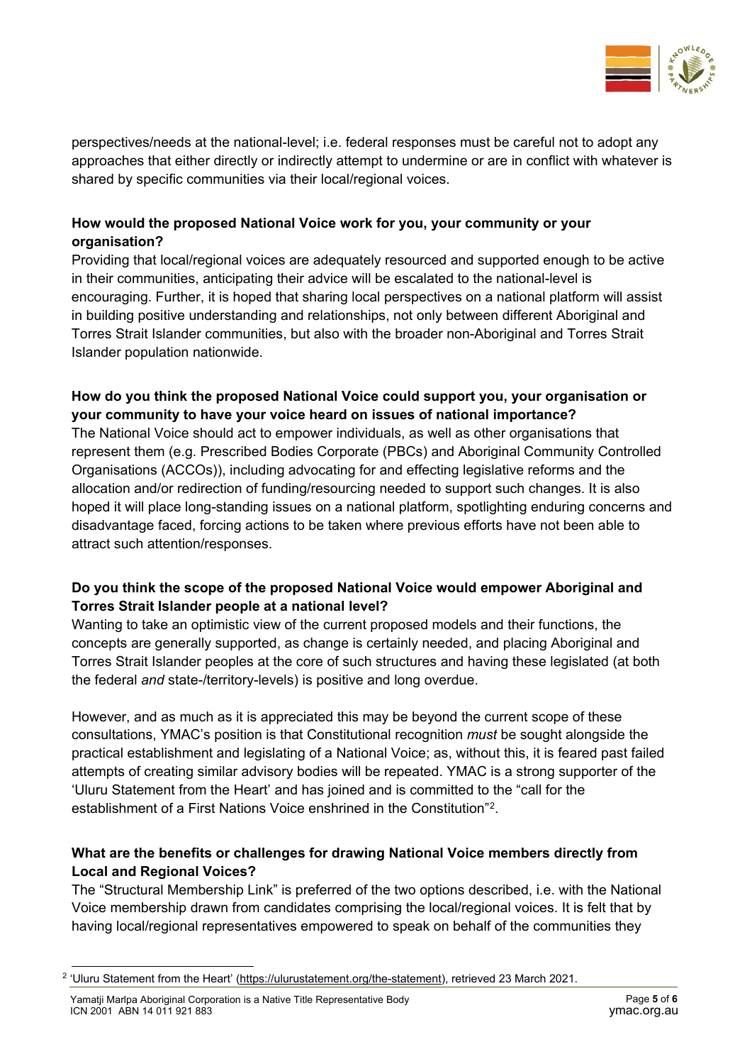

perspectives/needs at the national-level; i.e. federal responses must be careful not to adopt any approaches that either directly or indirectly attempt to undermine or are in conflict with whatever is shared by specific communities via their local/regional voices.

## **How would the proposed National Voice work for you, your community or your organisation?**

Providing that local/regional voices are adequately resourced and supported enough to be active in their communities, anticipating their advice will be escalated to the national-level is encouraging. Further, it is hoped that sharing local perspectives on a national platform will assist in building positive understanding and relationships, not only between different Aboriginal and Torres Strait Islander communities, but also with the broader non-Aboriginal and Torres Strait Islander population nationwide.

### **How do you think the proposed National Voice could support you, your organisation or your community to have your voice heard on issues of national importance?**

The National Voice should act to empower individuals, as well as other organisations that represent them (e.g. Prescribed Bodies Corporate (PBCs) and Aboriginal Community Controlled Organisations (ACCOs)), including advocating for and effecting legislative reforms and the allocation and/or redirection of funding/resourcing needed to support such changes. It is also hoped it will place long-standing issues on a national platform, spotlighting enduring concerns and disadvantage faced, forcing actions to be taken where previous efforts have not been able to attract such attention/responses.

## **Do you think the scope of the proposed National Voice would empower Aboriginal and Torres Strait Islander people at a national level?**

Wanting to take an optimistic view of the current proposed models and their functions, the concepts are generally supported, as change is certainly needed, and placing Aboriginal and Torres Strait Islander peoples at the core of such structures and having these legislated (at both the federal *and* state-/territory-levels) is positive and long overdue.

However, and as much as it is appreciated this may be beyond the current scope of these consultations, YMAC's position is that Constitutional recognition *must* be sought alongside the practical establishment and legislating of a National Voice; as, without this, it is feared past failed attempts of creating similar advisory bodies will be repeated. YMAC is a strong supporter of the 'Uluru Statement from the Heart' and has joined and is committed to the "call for the establishment of a First Nations Voice enshrined in the Constitution"[2.](#page-4-0)

# **What are the benefits or challenges for drawing National Voice members directly from Local and Regional Voices?**

The "Structural Membership Link" is preferred of the two options described, i.e. with the National Voice membership drawn from candidates comprising the local/regional voices. It is felt that by having local/regional representatives empowered to speak on behalf of the communities they

<span id="page-4-0"></span><sup>&</sup>lt;sup>2</sup> 'Uluru Statement from the Heart' [\(https://ulurustatement.org/the-statement\)](https://ulurustatement.org/the-statement), retrieved 23 March 2021.